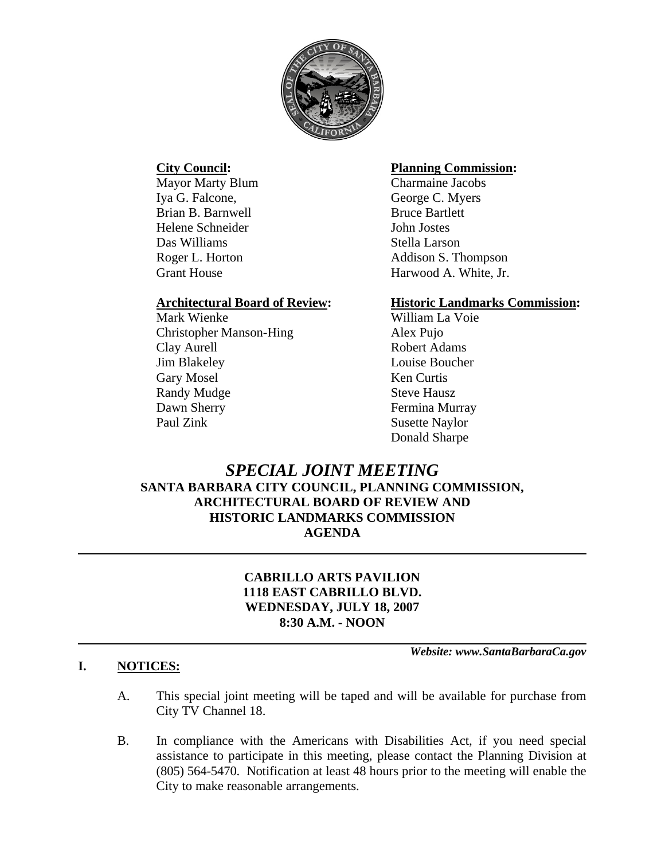

Mayor Marty Blum Charmaine Jacobs Iya G. Falcone, George C. Myers Brian B. Barnwell Bruce Bartlett Helene Schneider John Jostes Das Williams Stella Larson

Mark Wienke William La Voie Christopher Manson-Hing Alex Pujo Clay Aurell Robert Adams Jim Blakeley Louise Boucher Gary Mosel Ken Curtis Randy Mudge Steve Hausz Dawn Sherry Fermina Murray Paul Zink Susette Naylor

## **City Council: Planning Commission:**

Roger L. Horton Addison S. Thompson Grant House **Harwood A. White, Jr.** 

## **Architectural Board of Review: Historic Landmarks Commission:**

Donald Sharpe

# *SPECIAL JOINT MEETING* **SANTA BARBARA CITY COUNCIL, PLANNING COMMISSION, ARCHITECTURAL BOARD OF REVIEW AND HISTORIC LANDMARKS COMMISSION AGENDA**

# **CABRILLO ARTS PAVILION 1118 EAST CABRILLO BLVD. WEDNESDAY, JULY 18, 2007 8:30 A.M. - NOON**

*Website: www.SantaBarbaraCa.gov* 

## **I. NOTICES:**

- A. This special joint meeting will be taped and will be available for purchase from City TV Channel 18.
- B. In compliance with the Americans with Disabilities Act, if you need special assistance to participate in this meeting, please contact the Planning Division at (805) 564-5470. Notification at least 48 hours prior to the meeting will enable the City to make reasonable arrangements.